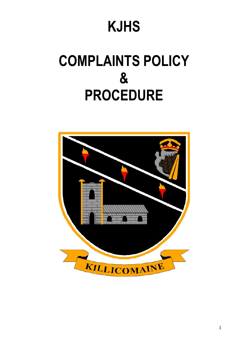# **KJHS**

# **COMPLAINTS POLICY & PROCEDURE**

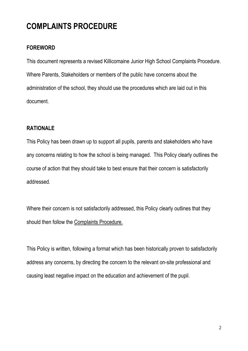# **COMPLAINTS PROCEDURE**

#### **FOREWORD**

This document represents a revised Killicomaine Junior High School Complaints Procedure. Where Parents, Stakeholders or members of the public have concerns about the administration of the school, they should use the procedures which are laid out in this document.

#### **RATIONALE**

This Policy has been drawn up to support all pupils, parents and stakeholders who have any concerns relating to how the school is being managed. This Policy clearly outlines the course of action that they should take to best ensure that their concern is satisfactorily addressed.

Where their concern is not satisfactorily addressed, this Policy clearly outlines that they should then follow the Complaints Procedure.

This Policy is written, following a format which has been historically proven to satisfactorily address any concerns, by directing the concern to the relevant on-site professional and causing least negative impact on the education and achievement of the pupil.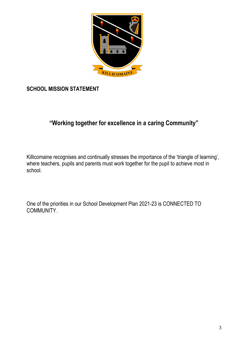

**SCHOOL MISSION STATEMENT**

# **"Working together for excellence in a caring Community"**

Killicomaine recognises and continually stresses the importance of the 'triangle of learning', where teachers, pupils and parents must work together for the pupil to achieve most in school.

One of the priorities in our School Development Plan 2021-23 is CONNECTED TO COMMUNITY.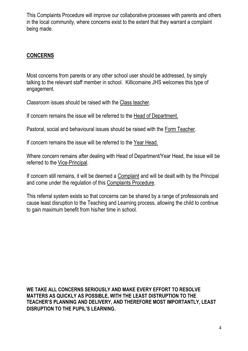This Complaints Procedure will improve our collaborative processes with parents and others in the local community, where concerns exist to the extent that they warrant a complaint being made.

#### **CONCERNS**

Most concerns from parents or any other school user should be addressed, by simply talking to the relevant staff member in school. Killicomaine JHS welcomes this type of engagement.

Classroom issues should be raised with the Class teacher.

If concern remains the issue will be referred to the Head of Department.

Pastoral, social and behavioural issues should be raised with the Form Teacher.

If concern remains the issue will be referred to the Year Head.

Where concern remains after dealing with Head of Department/Year Head, the issue will be referred to the Vice-Principal.

If concern still remains, it will be deemed a Complaint and will be dealt with by the Principal and come under the regulation of this Complaints Procedure.

This referral system exists so that concerns can be shared by a range of professionals and cause least disruption to the Teaching and Learning process, allowing the child to continue to gain maximum benefit from his/her time in school.

**WE TAKE ALL CONCERNS SERIOUSLY AND MAKE EVERY EFFORT TO RESOLVE MATTERS AS QUICKLY AS POSSIBLE, WITH THE LEAST DISTRUPTION TO THE TEACHER'S PLANNING AND DELIVERY, AND THEREFORE MOST IMPORTANTLY, LEAST DISRUPTION TO THE PUPIL'S LEARNING.**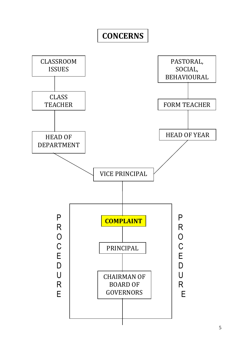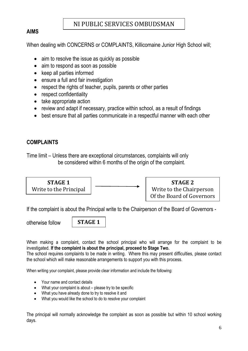# NI PUBLIC SERVICES OMBUDSMAN

### **AIMS**

When dealing with CONCERNS or COMPLAINTS, Killicomaine Junior High School will;

- aim to resolve the issue as quickly as possible
- aim to respond as soon as possible
- keep all parties informed
- ensure a full and fair investigation
- respect the rights of teacher, pupils, parents or other parties
- respect confidentiality
- take appropriate action
- review and adapt if necessary, practice within school, as a result of findings
- best ensure that all parties communicate in a respectful manner with each other

# **COMPLAINTS**

Time limit – Unless there are exceptional circumstances, complaints will only be considered within 6 months of the origin of the complaint.



If the complaint is about the Principal write to the Chairperson of the Board of Governors -

otherwise follow

**STAGE 1**

When making a complaint, contact the school principal who will arrange for the complaint to be investigated*.* **If the complaint is about the principal, proceed to Stage Two.** 

The school requires complaints to be made in writing. Where this may present difficulties, please contact the school which will make reasonable arrangements to support you with this process.

When writing your complaint, please provide clear information and include the following:

- Your name and contact details
- What your complaint is about please try to be specific
- What you have already done to try to resolve it and
- What you would like the school to do to resolve your complaint

The principal will normally acknowledge the complaint as soon as possible but within 10 school working days.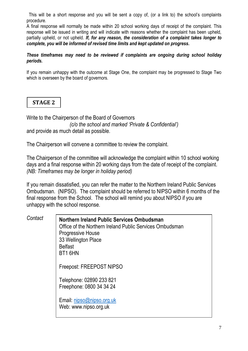This will be a short response and you will be sent a copy of, (or a link to) the school's complaints procedure.

A final response will normally be made within 20 school working days of receipt of the complaint. This response will be issued in writing and will indicate with reasons whether the complaint has been upheld, partially upheld, or not upheld. *If, for any reason, the consideration of a complaint takes longer to complete, you will be informed of revised time limits and kept updated on progress.*

*These timeframes may need to be reviewed if complaints are ongoing during school holiday periods.*

If you remain unhappy with the outcome at Stage One, the complaint may be progressed to Stage Two which is overseen by the board of governors.

# **STAGE 2**

Write to the Chairperson of the Board of Governors *(c/o the school and marked 'Private & Confidential')* and provide as much detail as possible.

The Chairperson will convene a committee to review the complaint.

The Chairperson of the committee will acknowledge the complaint within 10 school working days and a final response within 20 working days from the date of receipt of the complaint. *(NB: Timeframes may be longer in holiday period)*

If you remain dissatisfied, you can refer the matter to the Northern Ireland Public Services Ombudsman. (NIPSO). The complaint should be referred to NIPSO within 6 months of the final response from the School. The school will remind you about NIPSO if you are unhappy with the school response.

| Contact |
|---------|
|---------|

**Northern Ireland Public Services Ombudsman** Office of the Northern Ireland Public Services Ombudsman Progressive House 33 Wellington Place Belfast BT1 6HN Freepost: FREEPOST NIPSO Telephone: 02890 233 821 Freephone: 0800 34 34 24 Email: [nipso@nipso.org.uk](mailto:nipso@nipso.org.uk) Web: www.nipso.org.uk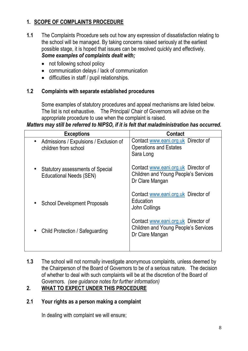# **1. SCOPE OF COMPLAINTS PROCEDURE**

- **1.1** The Complaints Procedure sets out how any expression of dissatisfaction relating to the school will be managed. By taking concerns raised seriously at the earliest possible stage, it is hoped that issues can be resolved quickly and effectively. *Some examples of complaints dealt with;*
	- not following school policy
	- communication delays / lack of communication
	- difficulties in staff / pupil relationships.

#### **1.2 Complaints with separate established procedures**

Some examples of statutory procedures and appeal mechanisms are listed below. The list is not exhaustive. The Principal/ Chair of Governors will advise on the appropriate procedure to use when the complaint is raised.

#### *Matters may still be referred to NIPSO, if it is felt that maladministration has occurred.*

| <b>Exceptions</b>                                                         | <b>Contact</b>                                                                                        |
|---------------------------------------------------------------------------|-------------------------------------------------------------------------------------------------------|
| Admissions / Expulsions / Exclusion of<br>children from school            | Contact www.eani.org.uk Director of<br><b>Operations and Estates</b><br>Sara Long                     |
| <b>Statutory assessments of Special</b><br><b>Educational Needs (SEN)</b> | Contact www.eani.org.uk Director of<br><b>Children and Young People's Services</b><br>Dr Clare Mangan |
| <b>School Development Proposals</b>                                       | Contact www.eani.org.uk Director of<br>Education<br>John Collings                                     |
| Child Protection / Safeguarding                                           | Contact www.eani.org.uk Director of<br><b>Children and Young People's Services</b><br>Dr Clare Mangan |

**1.3** The school will not normally investigate anonymous complaints, unless deemed by the Chairperson of the Board of Governors to be of a serious nature. The decision of whether to deal with such complaints will be at the discretion of the Board of Governors. *(see guidance notes for further information)*

# **2. WHAT TO EXPECT UNDER THIS PROCEDURE**

#### **2.1 Your rights as a person making a complaint**

In dealing with complaint we will ensure;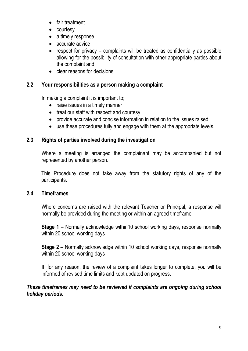- fair treatment
- courtesy
- a timely response
- accurate advice
- respect for privacy complaints will be treated as confidentially as possible allowing for the possibility of consultation with other appropriate parties about the complaint and
- **clear reasons for decisions**

# **2.2 Your responsibilities as a person making a complaint**

In making a complaint it is important to;

- raise issues in a timely manner
- treat our staff with respect and courtesy
- provide accurate and concise information in relation to the issues raised
- use these procedures fully and engage with them at the appropriate levels.

# **2.3 Rights of parties involved during the investigation**

Where a meeting is arranged the complainant may be accompanied but not represented by another person.

This Procedure does not take away from the statutory rights of any of the participants.

#### **2.4 Timeframes**

Where concerns are raised with the relevant Teacher or Principal, a response will normally be provided during the meeting or within an agreed timeframe.

**Stage 1** – Normally acknowledge within10 school working days, response normally within 20 school working days

**Stage 2** – Normally acknowledge within 10 school working days, response normally within 20 school working days

If, for any reason, the review of a complaint takes longer to complete, you will be informed of revised time limits and kept updated on progress.

#### *These timeframes may need to be reviewed if complaints are ongoing during school holiday periods.*